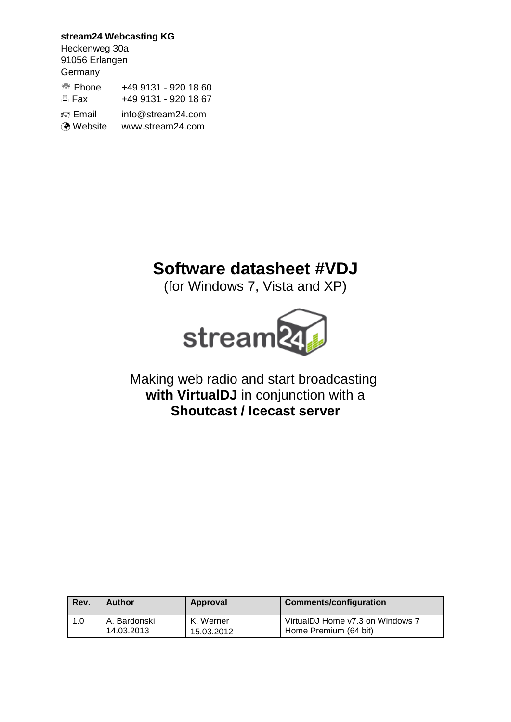**stream24 Webcasting KG** Heckenweg 30a 91056 Erlangen **Germany** <sup>2</sup> Phone +49 9131 - 920 18 60 **图 Fax +49 9131 - 920 18 67**  Email info@stream24.com Website www.stream24.com

# **Software datasheet #VDJ**

(for Windows 7, Vista and XP)



# Making web radio and start broadcasting **with VirtualDJ** in conjunction with a **Shoutcast / Icecast server**

| Rev. | Author       | Approval   | Comments/configuration           |
|------|--------------|------------|----------------------------------|
| 1.0  | A. Bardonski | K. Werner  | VirtualDJ Home v7.3 on Windows 7 |
|      | 14.03.2013   | 15.03.2012 | Home Premium (64 bit)            |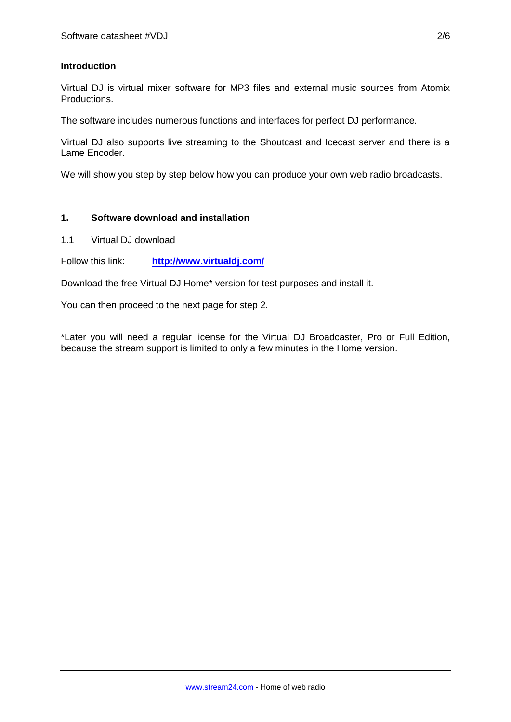## **Introduction**

Virtual DJ is virtual mixer software for MP3 files and external music sources from Atomix Productions.

The software includes numerous functions and interfaces for perfect DJ performance.

Virtual DJ also supports live streaming to the Shoutcast and Icecast server and there is a Lame Encoder.

We will show you step by step below how you can produce your own web radio broadcasts.

### **1. Software download and installation**

1.1 Virtual DJ download

Follow this link: **http://www.virtualdj.com/**

Download the free Virtual DJ Home\* version for test purposes and install it.

You can then proceed to the next page for step 2.

\*Later you will need a regular license for the Virtual DJ Broadcaster, Pro or Full Edition, because the stream support is limited to only a few minutes in the Home version.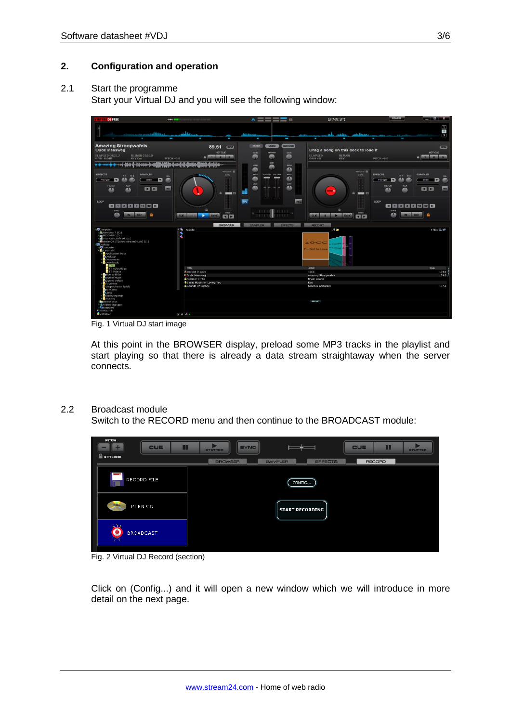#### **2. Configuration and operation**

#### 2.1 Start the programme

Start your Virtual DJ and you will see the following window:

| <b>DJ FREE</b>                                                                                                                                                                                                                                       | <b>GPU BEET</b> SECONDITION DESCRIPTION                         | $\sim \equiv \equiv$<br>$\mathbb{R}$                                                                        | 12:45:27                                                        | <b>CONFIG</b>                                                                            | <b>The Market Street</b>                                  |
|------------------------------------------------------------------------------------------------------------------------------------------------------------------------------------------------------------------------------------------------------|-----------------------------------------------------------------|-------------------------------------------------------------------------------------------------------------|-----------------------------------------------------------------|------------------------------------------------------------------------------------------|-----------------------------------------------------------|
| the first of the party of the first and the<br>l<br>٠                                                                                                                                                                                                | ا مەلىك<br>٠                                                    | ×.<br>I                                                                                                     | ı                                                               |                                                                                          | $\Box$<br>$\overline{2}$<br>$\overline{a}$                |
| <b>Amazing Stroopwafels</b><br><b>Oude Maasweg</b>                                                                                                                                                                                                   | $89.61$ $\qquad \qquad \qquad$<br>HOT CUE                       | <b>MOGER</b><br><b>SCRATCH</b><br><b>VIDEO</b><br>MANERS<br>GO.WE<br>DAIN                                   | Drag a song on this deck to load it                             |                                                                                          | EPM<br>HOT CUE                                            |
| ELAPSED 00:32.2<br><b>REMAIN 02:55.9</b><br><b>KEY Cm</b><br>$PTCH + 0.0$                                                                                                                                                                            | <b>The R 30</b>                                                 | $\mathbf{v}$<br>œ<br>m                                                                                      | <b>ELAPSED</b><br>REMAIN<br><b>KEY</b><br>GAIN dB               | $PITCH + 0.0$                                                                            | $-1 - 2 - 3$                                              |
| ing the all the difficulty of the con-                                                                                                                                                                                                               |                                                                 | CUR<br><b>HOOM</b><br><b>MIGH</b><br>m                                                                      |                                                                 |                                                                                          |                                                           |
| <b>EFFECTS</b><br><b>SAMPLER</b><br>R1 RE<br>va.<br>m2<br>e<br>v<br>Flanger<br>13<br>siren<br>FILTER<br><b>KEY</b><br><b>EI EI</b><br><b>AND</b><br>dh<br>ക                                                                                          | senzoo: @<br>33%<br><b><i><u>SHAMAN</u></i></b><br>a.<br>$\Box$ | ക<br>$\blacksquare$<br>VOLUME VOLUME<br><b>MED</b><br>MED.<br>đħ.<br>-<br>ക<br>LOW<br>LOW<br>dh.<br>dh<br>Æ | <b>HEYLDOK III</b><br>33%<br><b>STATISTICS</b><br>۵<br>$\equiv$ | <b>EFFECTS</b><br>$R1$ $R2$<br>Flanger<br>n<br>FILTER<br><b>MEY</b><br>$\mathbf{a}$<br>ക | <b>SAMPLER</b><br>VGL<br>siren<br><b>ABO</b><br><b>QP</b> |
| 1,00P<br>32F<br>1 1 2 4 1<br>16<br><b>GMST</b><br>вħ<br><b>OUT</b><br><b>CLE</b>                                                                                                                                                                     | percas.<br>88<br><b>SYNC</b>                                    | pru<br>PFL<br><b>TELEFON</b> LEEDER<br>$\Omega$<br>1111                                                     | ۵<br><b>PETCH</b><br><b>LCUC</b><br><b>SYNC</b><br>30           | 100P<br><b>KI 4</b><br><b>Part</b><br><b>A</b><br>CHET<br>đħ,                            | 32<br>≏<br><b>CLIT.</b>                                   |
|                                                                                                                                                                                                                                                      | <b>BROWSER</b>                                                  | <b>SAMPLER</b><br><b>EFFECTS</b>                                                                            | <b>RECORD</b>                                                   |                                                                                          |                                                           |
| -Computer<br>$\cdot$ %<br>- Windows 7 (C:)<br>- RECOVERY (D:)<br>- ROVO-RW-Laufwerk (E:)<br>ğ<br>Stream24 (\\buero.stream24.de) (Z:)<br>Desktop<br>· Computer<br>Lhardonski<br>Application Data<br><b>Desktop</b><br>Documents<br>Downloads<br>mp3li | Search:                                                         |                                                                                                             | 冷道<br>10CC<br>I'm Not In Love                                   |                                                                                          | 5 files e CP                                              |
| TT Aufschläge<br>TT Videos                                                                                                                                                                                                                           | Title<br>@ I'm Not In Love                                      |                                                                                                             | Artist<br>10CC                                                  |                                                                                          | Bom<br>104.0                                              |
| Eigene Bilder                                                                                                                                                                                                                                        | Coude Maasweg                                                   |                                                                                                             | Amazing Stroopwafels                                            |                                                                                          | 89.6                                                      |
| Eigene Musik<br>Eigene Videos                                                                                                                                                                                                                        | @Summer Of '69<br><b>G1</b> Was Made For Loving You             |                                                                                                             | <b>Bryan Adams</b><br>Kiss                                      |                                                                                          |                                                           |
| Favoriten<br>Gespeicherte Spiele<br>Kontakte<br><b>A</b> Links<br>Suchvorgänge                                                                                                                                                                       | <b>CaSounds Of Silence</b>                                      |                                                                                                             | Simon & Garfunkel                                               |                                                                                          | 107.3                                                     |
| Tracing<br>· Bibliotheken<br>· CHeimnetzgruppe<br>· Tweetzwerk                                                                                                                                                                                       |                                                                 |                                                                                                             | SICK LIST                                                       |                                                                                          |                                                           |
| <sup>C</sup> NetSearch<br>GeniusDJ                                                                                                                                                                                                                   |                                                                 |                                                                                                             |                                                                 |                                                                                          |                                                           |
|                                                                                                                                                                                                                                                      | $\mathbb{R}$ $\triangle$ $\mathbf{Q}$ $\triangle$               |                                                                                                             |                                                                 |                                                                                          |                                                           |

Fig. 1 Virtual DJ start image

At this point in the BROWSER display, preload some MP3 tracks in the playlist and start playing so that there is already a data stream straightaway when the server connects.

#### 2.2 Broadcast module

Switch to the RECORD menu and then continue to the BROADCAST module:



Fig. 2 Virtual DJ Record (section)

Click on (Config...) and it will open a new window which we will introduce in more detail on the next page.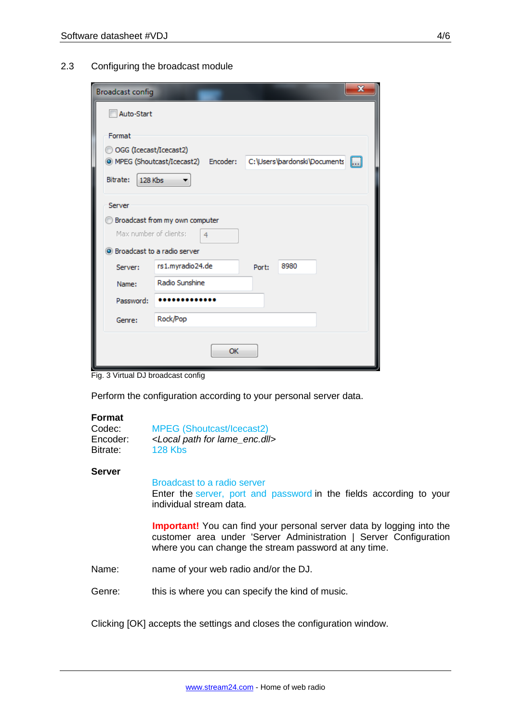| <b>Broadcast config</b>       |                                    |       |                              | × |
|-------------------------------|------------------------------------|-------|------------------------------|---|
| Auto-Start                    |                                    |       |                              |   |
| Format                        |                                    |       |                              |   |
| OGG (Icecast/Icecast2)        | MPEG (Shoutcast/Icecast2) Encoder: |       | C:\Users\bardonski\Documents | M |
| Bitrate:<br>128 Kbs           |                                    |       |                              |   |
| Server                        |                                    |       |                              |   |
|                               | Broadcast from my own computer     |       |                              |   |
| Max number of clients:        | 4                                  |       |                              |   |
| S Broadcast to a radio server |                                    |       |                              |   |
| Server:                       | rs1.myradio24.de                   | Port: | 8980                         |   |
| Name:                         | Radio Sunshine                     |       |                              |   |
| Password:                     |                                    |       |                              |   |
| Genre:                        | Rock/Pop                           |       |                              |   |
|                               | OK                                 |       |                              |   |

Fig. 3 Virtual DJ broadcast config

Perform the configuration according to your personal server data.

#### **Format**

| Codec:   | <b>MPEG (Shoutcast/Icecast2)</b>                  |  |  |
|----------|---------------------------------------------------|--|--|
| Encoder: | <local enc.dll="" for="" lame="" path=""></local> |  |  |
| Bitrate: | <b>128 Kbs</b>                                    |  |  |

#### **Server**

#### Broadcast to a radio server

Enter the server, port and password in the fields according to your individual stream data.

**Important!** You can find your personal server data by logging into the customer area under 'Server Administration | Server Configuration where you can change the stream password at any time.

- Name: name of your web radio and/or the DJ.
- Genre: this is where you can specify the kind of music.

Clicking [OK] accepts the settings and closes the configuration window.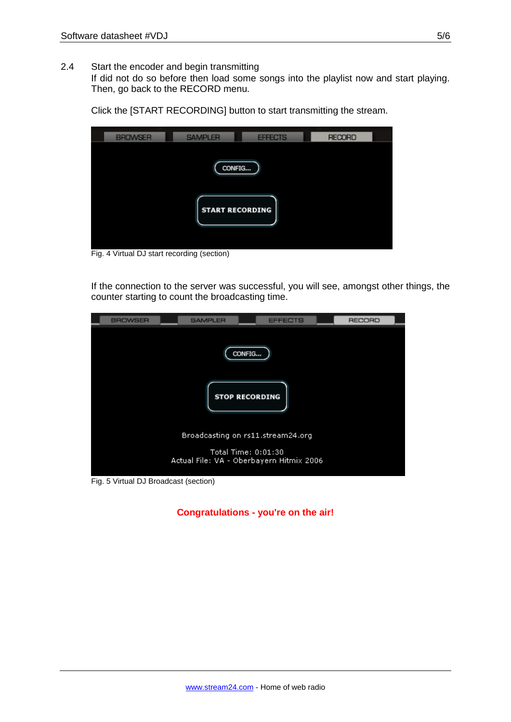2.4 Start the encoder and begin transmitting

If did not do so before then load some songs into the playlist now and start playing. Then, go back to the RECORD menu.

Click the [START RECORDING] button to start transmitting the stream.

| <b>BROWSER</b><br><b>SAMPLER</b><br><b>RECORD</b><br><b>EFFECTS</b> |  |
|---------------------------------------------------------------------|--|
| CONFIG<br><b>START RECORDING</b>                                    |  |

Fig. 4 Virtual DJ start recording (section)

If the connection to the server was successful, you will see, amongst other things, the counter starting to count the broadcasting time.



Fig. 5 Virtual DJ Broadcast (section)

**Congratulations - you're on the air!**